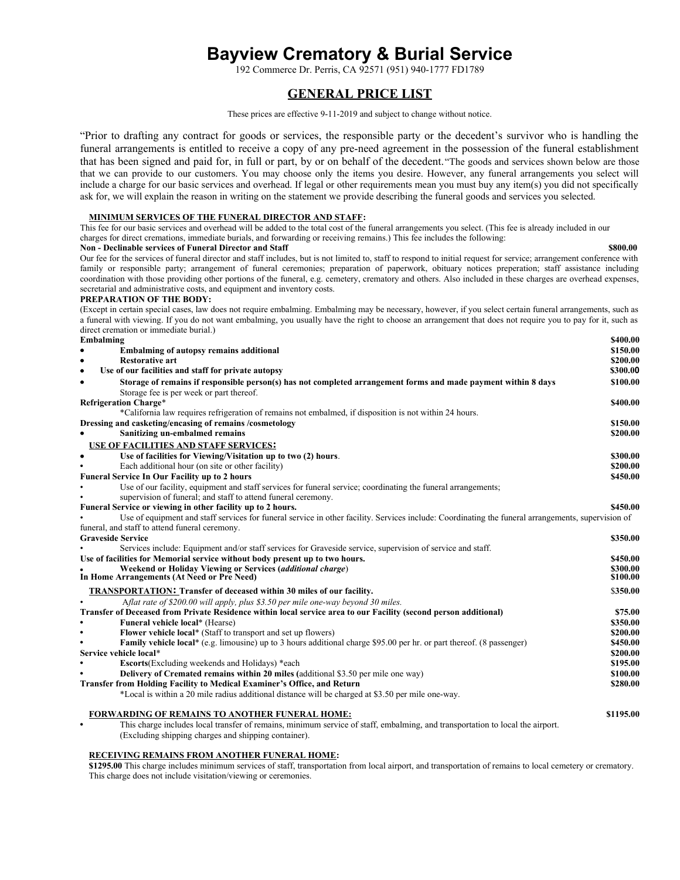# **Bayview Crematory & Burial Service**

192 Commerce Dr. Perris, CA 92571 (951) 940-1777 FD1789

# **GENERAL PRICE LIST**

These prices are effective 9-11-2019 and subject to change without notice.

"Prior to drafting any contract for goods or services, the responsible party or the decedent's survivor who is handling the funeral arrangements is entitled to receive a copy of any pre-need agreement in the possession of the funeral establishment that has been signed and paid for, in full or part, by or on behalf of the decedent."The goods and services shown below are those that we can provide to our customers. You may choose only the items you desire. However, any funeral arrangements you select will include a charge for our basic services and overhead. If legal or other requirements mean you must buy any item(s) you did not specifically ask for, we will explain the reason in writing on the statement we provide describing the funeral goods and services you selected.

#### **MINIMUM SERVICES OF THE FUNERAL DIRECTOR AND STAFF:**

This fee for our basic services and overhead will be added to the total cost of the funeral arrangements you select. (This fee is already included in our

#### charges for direct cremations, immediate burials, and forwarding or receiving remains.) This fee includes the following: **Non - Declinable services of Funeral Director and Staff \$800.00**

Our fee for the services of funeral director and staff includes, but is not limited to, staff to respond to initial request for service; arrangement conference with family or responsible party; arrangement of funeral ceremonies; preparation of paperwork, obituary notices preperation; staff assistance including coordination with those providing other portions of the funeral, e.g. cemetery, crematory and others. Also included in these charges are overhead expenses, secretarial and administrative costs, and equipment and inventory costs.

#### **PREPARATION OF THE BODY:**

(Except in certain special cases, law does not require embalming. Embalming may be necessary, however, if you select certain funeral arrangements, such as a funeral with viewing. If you do not want embalming, you usually have the right to choose an arrangement that does not require you to pay for it, such as direct cremation or immediate burial.)

| Embalming                    |                                                                                                                                                    | \$400.00  |
|------------------------------|----------------------------------------------------------------------------------------------------------------------------------------------------|-----------|
|                              | <b>Embalming of autopsy remains additional</b>                                                                                                     | \$150.00  |
| ٠                            | <b>Restorative art</b>                                                                                                                             | \$200.00  |
| $\bullet$                    | Use of our facilities and staff for private autopsy                                                                                                | \$300.00  |
| $\bullet$                    | Storage of remains if responsible person(s) has not completed arrangement forms and made payment within 8 days                                     | \$100.00  |
|                              | Storage fee is per week or part thereof.                                                                                                           |           |
| <b>Refrigeration Charge*</b> |                                                                                                                                                    | \$400.00  |
|                              | *California law requires refrigeration of remains not embalmed, if disposition is not within 24 hours.                                             |           |
|                              | Dressing and casketing/encasing of remains /cosmetology                                                                                            | \$150.00  |
|                              | Sanitizing un-embalmed remains                                                                                                                     | \$200.00  |
|                              | USE OF FACILITIES AND STAFF SERVICES:                                                                                                              |           |
| $\bullet$                    | Use of facilities for Viewing/Visitation up to two (2) hours.                                                                                      | \$300.00  |
|                              | Each additional hour (on site or other facility)                                                                                                   | \$200.00  |
|                              | <b>Funeral Service In Our Facility up to 2 hours</b>                                                                                               | \$450.00  |
|                              | Use of our facility, equipment and staff services for funeral service; coordinating the funeral arrangements;                                      |           |
|                              | supervision of funeral; and staff to attend funeral ceremony.                                                                                      |           |
|                              | Funeral Service or viewing in other facility up to 2 hours.                                                                                        | \$450.00  |
|                              | Use of equipment and staff services for funeral service in other facility. Services include: Coordinating the funeral arrangements, supervision of |           |
|                              | funeral, and staff to attend funeral ceremony.                                                                                                     |           |
| <b>Graveside Service</b>     |                                                                                                                                                    | \$350.00  |
|                              | Services include: Equipment and/or staff services for Graveside service, supervision of service and staff.                                         |           |
|                              | Use of facilities for Memorial service without body present up to two hours.                                                                       | \$450.00  |
|                              | Weekend or Holiday Viewing or Services (additional charge)                                                                                         | \$300.00  |
|                              | In Home Arrangements (At Need or Pre Need)                                                                                                         | \$100.00  |
|                              | <b>TRANSPORTATION: Transfer of deceased within 30 miles of our facility.</b>                                                                       | \$350.00  |
|                              | Aflat rate of \$200.00 will apply, plus \$3.50 per mile one-way beyond 30 miles.                                                                   |           |
|                              | Transfer of Deceased from Private Residence within local service area to our Facility (second person additional)                                   | \$75.00   |
|                              | <b>Funeral vehicle local*</b> (Hearse)                                                                                                             | \$350.00  |
|                              | Flower vehicle local* (Staff to transport and set up flowers)                                                                                      | \$200.00  |
|                              | <b>Family vehicle local*</b> (e.g. limousine) up to 3 hours additional charge \$95.00 per hr. or part thereof. (8 passenger)                       | \$450.00  |
| Service vehicle local*       |                                                                                                                                                    | \$200.00  |
|                              | <b>Escorts</b> (Excluding weekends and Holidays) *each                                                                                             | \$195.00  |
|                              | Delivery of Cremated remains within 20 miles (additional \$3.50 per mile one way)                                                                  | \$100.00  |
|                              | Transfer from Holding Facility to Medical Examiner's Office, and Return                                                                            | \$280.00  |
|                              | *Local is within a 20 mile radius additional distance will be charged at \$3.50 per mile one-way.                                                  |           |
|                              | <b>FORWARDING OF REMAINS TO ANOTHER FUNERAL HOME:</b>                                                                                              | \$1195.00 |
| $\bullet$                    | This charge includes local transfer of remains, minimum service of staff, embalming, and transportation to local the airport.                      |           |

(Excluding shipping charges and shipping container).

#### **RECEIVING REMAINS FROM ANOTHER FUNERAL HOME:**

**\$1295.00** This charge includes minimum services of staff, transportation from local airport, and transportation of remains to local cemetery or crematory. This charge does not include visitation/viewing or ceremonies.